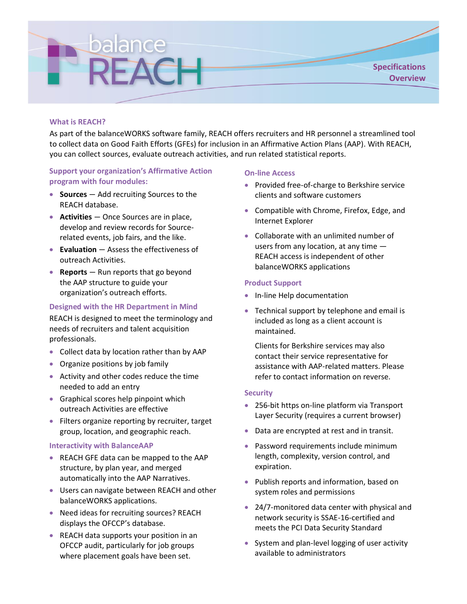

# **What is REACH?**

As part of the balanceWORKS software family, REACH offers recruiters and HR personnel a streamlined tool to collect data on Good Faith Efforts (GFEs) for inclusion in an Affirmative Action Plans (AAP). With REACH, you can collect sources, evaluate outreach activities, and run related statistical reports.

# **Support your organization's Affirmative Action program with four modules:**

- **Sources** Add recruiting Sources to the REACH database.
- **Activities** Once Sources are in place, develop and review records for Sourcerelated events, job fairs, and the like.
- **Evaluation** Assess the effectiveness of outreach Activities.
- **Reports** Run reports that go beyond the AAP structure to guide your organization's outreach efforts.

### **Designed with the HR Department in Mind**

REACH is designed to meet the terminology and needs of recruiters and talent acquisition professionals.

- Collect data by location rather than by AAP
- Organize positions by job family
- Activity and other codes reduce the time needed to add an entry
- Graphical scores help pinpoint which outreach Activities are effective
- Filters organize reporting by recruiter, target group, location, and geographic reach.

### **Interactivity with BalanceAAP**

- REACH GFE data can be mapped to the AAP structure, by plan year, and merged automatically into the AAP Narratives.
- Users can navigate between REACH and other balanceWORKS applications.
- Need ideas for recruiting sources? REACH displays the OFCCP's database.
- REACH data supports your position in an OFCCP audit, particularly for job groups where placement goals have been set.

#### **On-line Access**

- Provided free-of-charge to Berkshire service clients and software customers
- Compatible with Chrome, Firefox, Edge, and Internet Explorer
- Collaborate with an unlimited number of users from any location, at any time — REACH access is independent of other balanceWORKS applications

### **Product Support**

- In-line Help documentation
- Technical support by telephone and email is included as long as a client account is maintained.

Clients for Berkshire services may also contact their service representative for assistance with AAP-related matters. Please refer to contact information on reverse.

### **Security**

- 256-bit https on-line platform via Transport Layer Security (requires a current browser)
- Data are encrypted at rest and in transit.
- Password requirements include minimum length, complexity, version control, and expiration.
- Publish reports and information, based on system roles and permissions
- 24/7-monitored data center with physical and network security is SSAE-16-certified and meets the PCI Data Security Standard
- System and plan-level logging of user activity available to administrators